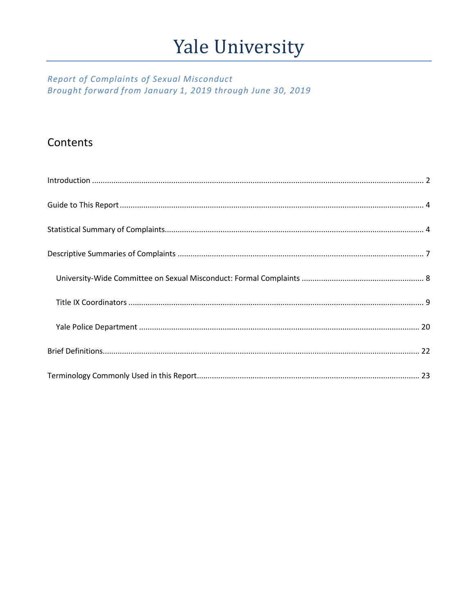# Yale University

## Report of Complaints of Sexual Misconduct Brought forward from January 1, 2019 through June 30, 2019

# Contents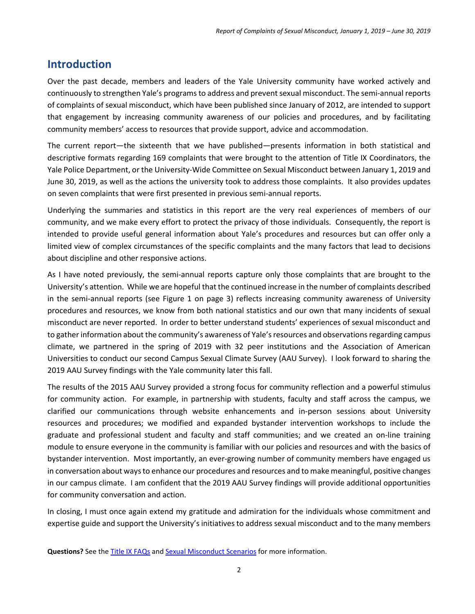# <span id="page-1-0"></span>**Introduction**

Over the past decade, members and leaders of the Yale University community have worked actively and continuously to strengthen Yale's programs to address and prevent sexual misconduct. The semi-annual reports of complaints of sexual misconduct, which have been published since January of 2012, are intended to support that engagement by increasing community awareness of our policies and procedures, and by facilitating community members' access to resources that provide support, advice and accommodation.

The current report—the sixteenth that we have published—presents information in both statistical and descriptive formats regarding 169 complaints that were brought to the attention of Title IX Coordinators, the Yale Police Department, or the University-Wide Committee on Sexual Misconduct between January 1, 2019 and June 30, 2019, as well as the actions the university took to address those complaints. It also provides updates on seven complaints that were first presented in previous semi-annual reports.

Underlying the summaries and statistics in this report are the very real experiences of members of our community, and we make every effort to protect the privacy of those individuals. Consequently, the report is intended to provide useful general information about Yale's procedures and resources but can offer only a limited view of complex circumstances of the specific complaints and the many factors that lead to decisions about discipline and other responsive actions.

As I have noted previously, the semi-annual reports capture only those complaints that are brought to the University's attention. While we are hopeful that the continued increase in the number of complaints described in the semi-annual reports (see Figure 1 on page 3) reflects increasing community awareness of University procedures and resources, we know from both national statistics and our own that many incidents of sexual misconduct are never reported. In order to better understand students' experiences of sexual misconduct and to gather information about the community's awareness of Yale's resources and observations regarding campus climate, we partnered in the spring of 2019 with 32 peer institutions and the Association of American Universities to conduct our second Campus Sexual Climate Survey (AAU Survey). I look forward to sharing the 2019 AAU Survey findings with the Yale community later this fall.

The results of the 2015 AAU Survey provided a strong focus for community reflection and a powerful stimulus for community action. For example, in partnership with students, faculty and staff across the campus, we clarified our communications through website enhancements and in-person sessions about University resources and procedures; we modified and expanded bystander intervention workshops to include the graduate and professional student and faculty and staff communities; and we created an on-line training module to ensure everyone in the community is familiar with our policies and resources and with the basics of bystander intervention. Most importantly, an ever-growing number of community members have engaged us in conversation about ways to enhance our procedures and resources and to make meaningful, positive changes in our campus climate. I am confident that the 2019 AAU Survey findings will provide additional opportunities for community conversation and action.

In closing, I must once again extend my gratitude and admiration for the individuals whose commitment and expertise guide and support the University's initiatives to address sexual misconduct and to the many members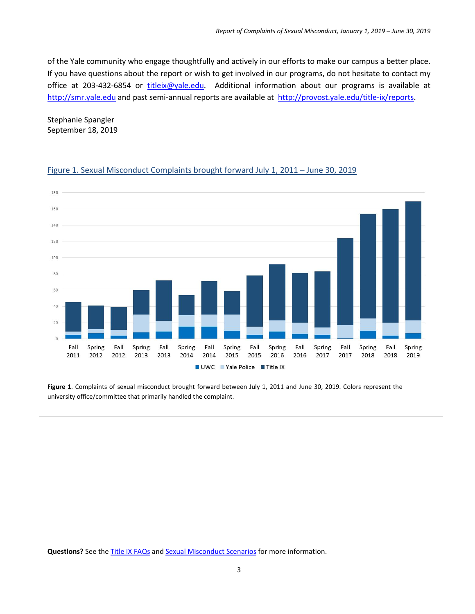of the Yale community who engage thoughtfully and actively in our efforts to make our campus a better place. If you have questions about the report or wish to get involved in our programs, do not hesitate to contact my office at 203-432-6854 or [titleix@yale.edu.](mailto:titleix@yale.edu) Additional information about our programs is available at [http://smr.yale.edu](http://smr.yale.edu/) and past semi-annual reports are available at [http://provost.yale.edu/title-ix/reports.](http://provost.yale.edu/title-ix/reports)

Stephanie Spangler September 18, 2019



#### Figure 1. Sexual Misconduct Complaints brought forward July 1, 2011 – June 30, 2019

<span id="page-2-0"></span>**Figure 1**. Complaints of sexual misconduct brought forward between July 1, 2011 and June 30, 2019. Colors represent the university office/committee that primarily handled the complaint.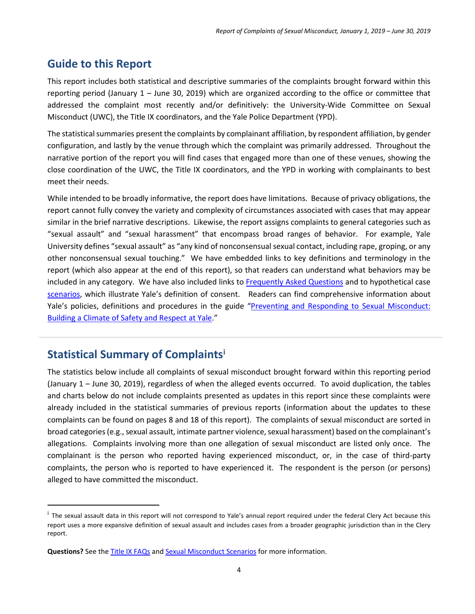# **Guide to this Report**

This report includes both statistical and descriptive summaries of the complaints brought forward within this reporting period (January 1 – June 30, 2019) which are organized according to the office or committee that addressed the complaint most recently and/or definitively: the University-Wide Committee on Sexual Misconduct (UWC), the Title IX coordinators, and the Yale Police Department (YPD).

The statistical summaries present the complaints by complainant affiliation, by respondent affiliation, by gender configuration, and lastly by the venue through which the complaint was primarily addressed. Throughout the narrative portion of the report you will find cases that engaged more than one of these venues, showing the close coordination of the UWC, the Title IX coordinators, and the YPD in working with complainants to best meet their needs.

While intended to be broadly informative, the report does have limitations. Because of privacy obligations, the report cannot fully convey the variety and complexity of circumstances associated with cases that may appear similar in the brief narrative descriptions. Likewise, the report assigns complaints to general categories such as "sexual assault" and "sexual harassment" that encompass broad ranges of behavior. For example, Yale University defines "sexual assault" as "any kind of nonconsensual sexual contact, including rape, groping, or any other nonconsensual sexual touching." We have embedded links to key definitions and terminology in the report (which also appear at the end of this report), so that readers can understand what behaviors may be included in any category. We have also included links to [Frequently Asked Questions](http://provost.yale.edu/title-ix/faq) and to hypothetical case [scenarios,](http://smr.yale.edu/sites/default/files/files/Sexual-Misconduct-Scenarios.pdf) which illustrate Yale's definition of consent. Readers can find comprehensive information about Yale's policies, definitions and procedures in the guide "Preventing and Responding to Sexual Misconduct: [Building a Climate of Safety and Respect at Yale.](https://smr.yale.edu/sites/default/files/files/Guide-Preventing-and-Responding-to-Sexual-Misconduct.pdf)"

## <span id="page-3-0"></span>**Statistical Summary of Complaints[i](#page-3-1)**

The statistics below include all complaints of sexual misconduct brought forward within this reporting period (January 1 – June 30, 2019), regardless of when the alleged events occurred. To avoid duplication, the tables and charts below do not include complaints presented as updates in this report since these complaints were already included in the statistical summaries of previous reports (information about the updates to these complaints can be found on pages 8 and 18 of this report). The complaints of sexual misconduct are sorted in broad categories(e.g., sexual assault, intimate partner violence, sexual harassment) based on the complainant's allegations. Complaints involving more than one allegation of sexual misconduct are listed only once. The complainant is the person who reported having experienced misconduct, or, in the case of third-party complaints, the person who is reported to have experienced it. The respondent is the person (or persons) alleged to have committed the misconduct.

<span id="page-3-1"></span><sup>&</sup>lt;sup>i</sup> The sexual assault data in this report will not correspond to Yale's annual report required under the federal Clery Act because this report uses a more expansive definition of sexual assault and includes cases from a broader geographic jurisdiction than in the Clery report.

**Questions?** See th[e Title IX FAQs](http://provost.yale.edu/title-ix/faq) an[d Sexual Misconduct Scenarios](http://smr.yale.edu/sites/default/files/files/Sexual-Misconduct-Scenarios.pdf) for more information.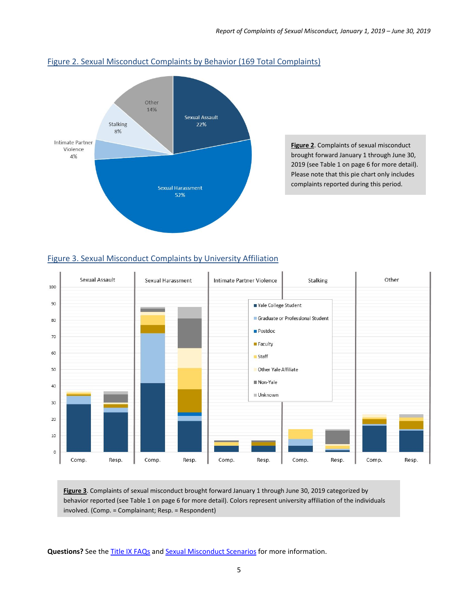

#### Figure 2. Sexual Misconduct Complaints by Behavior (169 Total Complaints)

**Figure 2**. Complaints of sexual misconduct brought forward January 1 through June 30, 2019 (see Table 1 on page 6 for more detail). Please note that this pie chart only includes complaints reported during this period.

#### Figure 3. Sexual Misconduct Complaints by University Affiliation



**Figure 3**. Complaints of sexual misconduct brought forward January 1 through June 30, 2019 categorized by behavior reported (see Table 1 on page 6 for more detail). Colors represent university affiliation of the individuals involved. (Comp. = Complainant; Resp. = Respondent)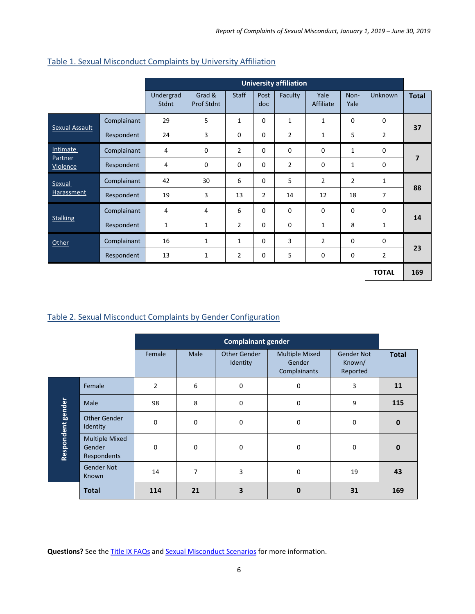|                            |             | <b>University affiliation</b> |                      |                |                |                |                   |                |                |                |
|----------------------------|-------------|-------------------------------|----------------------|----------------|----------------|----------------|-------------------|----------------|----------------|----------------|
|                            |             | Undergrad<br><b>Stdnt</b>     | Grad &<br>Prof Stdnt | <b>Staff</b>   | Post<br>doc    | Faculty        | Yale<br>Affiliate | Non-<br>Yale   | Unknown        | <b>Total</b>   |
|                            | Complainant | 29                            | 5                    | $\mathbf{1}$   | $\mathbf 0$    | $\mathbf{1}$   | $\mathbf{1}$      | $\Omega$       | $\mathbf 0$    |                |
| Sexual Assault             | Respondent  | 24                            | 3                    | 0              | 0              | $\overline{2}$ | $\mathbf{1}$      | 5              | $\overline{2}$ | 37             |
| Intimate                   | Complainant | 4                             | $\mathbf 0$          | $\overline{2}$ | $\mathbf 0$    | 0              | 0                 | $\mathbf{1}$   | $\mathbf 0$    | $\overline{ }$ |
| <b>Partner</b><br>Violence | Respondent  | 4                             | $\Omega$             | $\Omega$       | $\Omega$       | $\overline{2}$ | 0                 | 1              | $\mathbf 0$    |                |
| Sexual                     | Complainant | 42                            | 30                   | 6              | $\mathbf 0$    | 5              | $\overline{2}$    | $\overline{2}$ | 1              | 88             |
| Harassment                 | Respondent  | 19                            | 3                    | 13             | $\overline{2}$ | 14             | 12                | 18             | $\overline{7}$ |                |
|                            | Complainant | 4                             | $\overline{4}$       | 6              | $\mathbf 0$    | 0              | $\mathbf 0$       | $\mathbf 0$    | $\mathbf 0$    | 14             |
| <b>Stalking</b>            | Respondent  | 1                             | $\mathbf{1}$         | $\overline{2}$ | 0              | 0              | 1                 | 8              | $\mathbf{1}$   |                |
| <b>Other</b>               | Complainant | 16                            | $\mathbf{1}$         | $\mathbf{1}$   | $\Omega$       | 3              | $\overline{2}$    | $\Omega$       | $\mathbf 0$    | 23             |
|                            | Respondent  | 13                            | 1                    | $\overline{2}$ | 0              | 5              | 0                 | $\mathbf 0$    | $\overline{2}$ |                |
|                            |             |                               |                      |                |                |                |                   |                | <b>TOTAL</b>   | 169            |

#### Table 1. Sexual Misconduct Complaints by University Affiliation

#### Table 2. Sexual Misconduct Complaints by Gender Configuration

|                   |                                                |                |                | <b>Complainant gender</b> |                                                 |                                         |              |
|-------------------|------------------------------------------------|----------------|----------------|---------------------------|-------------------------------------------------|-----------------------------------------|--------------|
|                   |                                                | Female         | <b>Male</b>    | Other Gender<br>Identity  | <b>Multiple Mixed</b><br>Gender<br>Complainants | <b>Gender Not</b><br>Known/<br>Reported | <b>Total</b> |
|                   | Female                                         | $\overline{2}$ | 6              | 0                         | $\mathbf 0$                                     | 3                                       | 11           |
|                   | Male                                           | 98             | 8              | 0                         | $\mathbf 0$                                     | 9                                       | 115          |
|                   | <b>Other Gender</b><br>Identity                | $\mathbf 0$    | $\mathbf 0$    | 0                         | 0                                               | $\mathbf 0$                             | $\mathbf{0}$ |
| Respondent gender | <b>Multiple Mixed</b><br>Gender<br>Respondents | $\mathbf 0$    | $\mathbf 0$    | 0                         | $\mathbf 0$                                     | 0                                       | $\mathbf{0}$ |
|                   | <b>Gender Not</b><br>Known                     | 14             | $\overline{7}$ | 3                         | 0                                               | 19                                      | 43           |
|                   | <b>Total</b>                                   | 114            | 21             | 3                         | $\mathbf 0$                                     | 31                                      | 169          |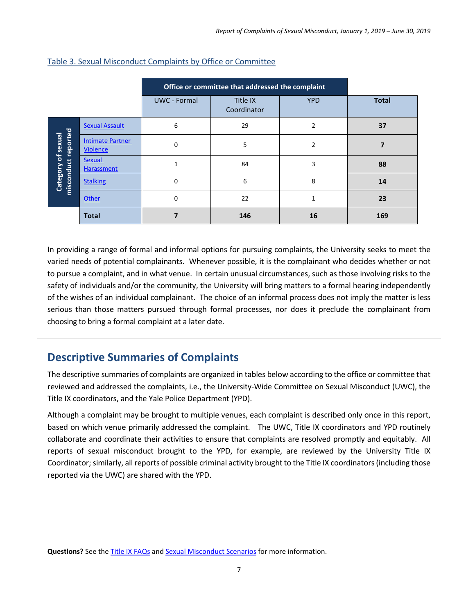|                                                  |                                            | Office or committee that addressed the complaint |                         |                |              |
|--------------------------------------------------|--------------------------------------------|--------------------------------------------------|-------------------------|----------------|--------------|
|                                                  |                                            | <b>UWC</b> - Formal                              | Title IX<br>Coordinator | <b>YPD</b>     | <b>Total</b> |
|                                                  | <b>Sexual Assault</b>                      | 6                                                | 29                      | $\overline{2}$ | 37           |
| misconduct reported<br><b>Category of sexual</b> | <b>Intimate Partner</b><br><b>Violence</b> | $\Omega$                                         | 5                       | $\overline{2}$ |              |
|                                                  | <b>Sexual</b><br>Harassment                |                                                  | 84                      | 3              | 88           |
|                                                  | <b>Stalking</b>                            | $\Omega$                                         | 6                       | 8              | 14           |
|                                                  | Other                                      | $\Omega$                                         | 22                      | 1              | 23           |
|                                                  | <b>Total</b>                               |                                                  | 146                     | 16             | 169          |

#### Table 3. Sexual Misconduct Complaints by Office or Committee

In providing a range of formal and informal options for pursuing complaints, the University seeks to meet the varied needs of potential complainants. Whenever possible, it is the complainant who decides whether or not to pursue a complaint, and in what venue. In certain unusual circumstances, such as those involving risks to the safety of individuals and/or the community, the University will bring matters to a formal hearing independently of the wishes of an individual complainant. The choice of an informal process does not imply the matter is less serious than those matters pursued through formal processes, nor does it preclude the complainant from choosing to bring a formal complaint at a later date.

# <span id="page-6-0"></span>**Descriptive Summaries of Complaints**

The descriptive summaries of complaints are organized in tables below according to the office or committee that reviewed and addressed the complaints, i.e., the University-Wide Committee on Sexual Misconduct (UWC), the Title IX coordinators, and the Yale Police Department (YPD).

<span id="page-6-1"></span>Although a complaint may be brought to multiple venues, each complaint is described only once in this report, based on which venue primarily addressed the complaint. The UWC, Title IX coordinators and YPD routinely collaborate and coordinate their activities to ensure that complaints are resolved promptly and equitably. All reports of sexual misconduct brought to the YPD, for example, are reviewed by the University Title IX Coordinator; similarly, all reports of possible criminal activity brought to the Title IX coordinators (including those reported via the UWC) are shared with the YPD.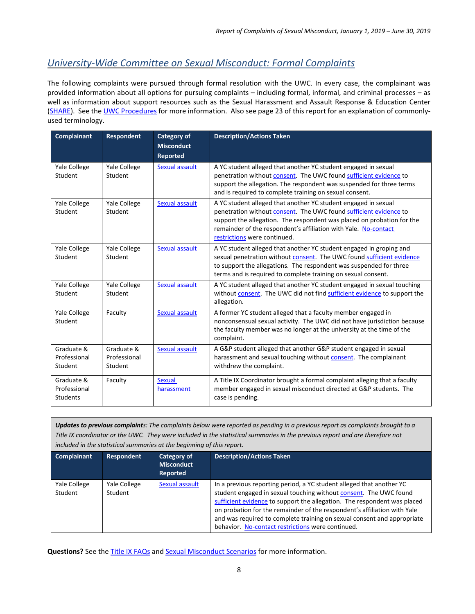## *University-Wide Committee on Sexual Misconduct: Formal Complaints*

The following complaints were pursued through formal resolution with the UWC. In every case, the complainant was provided information about all options for pursuing complaints – including formal, informal, and criminal processes – as well as information about support resources such as the Sexual Harassment and Assault Response & Education Center [\(SHARE\)](http://sharecenter.yale.edu/). See th[e UWC Procedures](http://uwc.yale.edu/) for more information. Also see page 23 of this report for an explanation of commonlyused terminology.

| <b>Complainant</b>                            | <b>Respondent</b>                     | <b>Category of</b><br><b>Misconduct</b><br><b>Reported</b> | <b>Description/Actions Taken</b>                                                                                                                                                                                                                                                                                 |
|-----------------------------------------------|---------------------------------------|------------------------------------------------------------|------------------------------------------------------------------------------------------------------------------------------------------------------------------------------------------------------------------------------------------------------------------------------------------------------------------|
| Yale College<br>Student                       | Yale College<br>Student               | Sexual assault                                             | A YC student alleged that another YC student engaged in sexual<br>penetration without consent. The UWC found sufficient evidence to<br>support the allegation. The respondent was suspended for three terms<br>and is required to complete training on sexual consent.                                           |
| Yale College<br>Student                       | Yale College<br>Student               | Sexual assault                                             | A YC student alleged that another YC student engaged in sexual<br>penetration without consent. The UWC found sufficient evidence to<br>support the allegation. The respondent was placed on probation for the<br>remainder of the respondent's affiliation with Yale. No-contact<br>restrictions were continued. |
| Yale College<br>Student                       | Yale College<br>Student               | Sexual assault                                             | A YC student alleged that another YC student engaged in groping and<br>sexual penetration without consent. The UWC found sufficient evidence<br>to support the allegations. The respondent was suspended for three<br>terms and is required to complete training on sexual consent.                              |
| Yale College<br>Student                       | Yale College<br>Student               | Sexual assault                                             | A YC student alleged that another YC student engaged in sexual touching<br>without consent. The UWC did not find sufficient evidence to support the<br>allegation.                                                                                                                                               |
| Yale College<br>Student                       | Faculty                               | Sexual assault                                             | A former YC student alleged that a faculty member engaged in<br>nonconsensual sexual activity. The UWC did not have jurisdiction because<br>the faculty member was no longer at the university at the time of the<br>complaint.                                                                                  |
| Graduate &<br>Professional<br>Student         | Graduate &<br>Professional<br>Student | Sexual assault                                             | A G&P student alleged that another G&P student engaged in sexual<br>harassment and sexual touching without consent. The complainant<br>withdrew the complaint.                                                                                                                                                   |
| Graduate &<br>Professional<br><b>Students</b> | Faculty                               | <b>Sexual</b><br>harassment                                | A Title IX Coordinator brought a formal complaint alleging that a faculty<br>member engaged in sexual misconduct directed at G&P students. The<br>case is pending.                                                                                                                                               |

*Updates to previous complaints: The complaints below were reported as pending in a previous report as complaints brought to a Title IX coordinator or the UWC. They were included in the statistical summaries in the previous report and are therefore not included in the statistical summaries at the beginning of this report.*

| <b>Complainant</b>      | <b>Respondent</b>       | Category of<br><b>Misconduct</b><br><b>Reported</b> | <b>Description/Actions Taken</b>                                                                                                                                                                                                                                                                                                                                                                                                  |
|-------------------------|-------------------------|-----------------------------------------------------|-----------------------------------------------------------------------------------------------------------------------------------------------------------------------------------------------------------------------------------------------------------------------------------------------------------------------------------------------------------------------------------------------------------------------------------|
| Yale College<br>Student | Yale College<br>Student | Sexual assault                                      | In a previous reporting period, a YC student alleged that another YC<br>student engaged in sexual touching without consent. The UWC found<br>sufficient evidence to support the allegation. The respondent was placed<br>on probation for the remainder of the respondent's affiliation with Yale<br>and was required to complete training on sexual consent and appropriate<br>behavior. No-contact restrictions were continued. |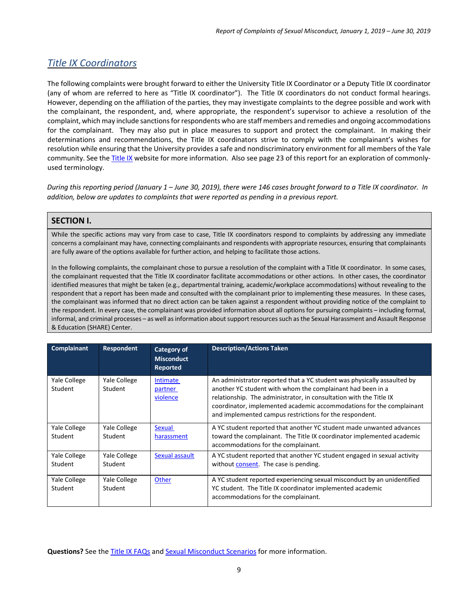## <span id="page-8-0"></span>*Title IX Coordinators*

The following complaints were brought forward to either the University Title IX Coordinator or a Deputy Title IX coordinator (any of whom are referred to here as "Title IX coordinator"). The Title IX coordinators do not conduct formal hearings. However, depending on the affiliation of the parties, they may investigate complaints to the degree possible and work with the complainant, the respondent, and, where appropriate, the respondent's supervisor to achieve a resolution of the complaint, which may include sanctions for respondents who are staff members and remedies and ongoing accommodations for the complainant. They may also put in place measures to support and protect the complainant. In making their determinations and recommendations, the Title IX coordinators strive to comply with the complainant's wishes for resolution while ensuring that the University provides a safe and nondiscriminatory environment for all members of the Yale community. See th[e Title IX](http://provost.yale.edu/title-ix) website for more information. Also see page 23 of this report for an exploration of commonlyused terminology.

*During this reporting period (January 1 – June 30, 2019), there were 146 cases brought forward to a Title IX coordinator. In addition, below are updates to complaints that were reported as pending in a previous report.*

#### **SECTION I.**

While the specific actions may vary from case to case, Title IX coordinators respond to complaints by addressing any immediate concerns a complainant may have, connecting complainants and respondents with appropriate resources, ensuring that complainants are fully aware of the options available for further action, and helping to facilitate those actions.

In the following complaints, the complainant chose to pursue a resolution of the complaint with a Title IX coordinator. In some cases, the complainant requested that the Title IX coordinator facilitate accommodations or other actions. In other cases, the coordinator identified measures that might be taken (e.g., departmental training, academic/workplace accommodations) without revealing to the respondent that a report has been made and consulted with the complainant prior to implementing these measures. In these cases, the complainant was informed that no direct action can be taken against a respondent without providing notice of the complaint to the respondent. In every case, the complainant was provided information about all options for pursuing complaints – including formal, informal, and criminal processes – as well as information about support resources such as the Sexual Harassment and Assault Response & Education (SHARE) Center.

| Complainant             | Respondent              | <b>Category of</b><br><b>Misconduct</b><br>Reported | <b>Description/Actions Taken</b>                                                                                                                                                                                                                                                                                                               |
|-------------------------|-------------------------|-----------------------------------------------------|------------------------------------------------------------------------------------------------------------------------------------------------------------------------------------------------------------------------------------------------------------------------------------------------------------------------------------------------|
| Yale College<br>Student | Yale College<br>Student | Intimate<br>partner<br>violence                     | An administrator reported that a YC student was physically assaulted by<br>another YC student with whom the complainant had been in a<br>relationship. The administrator, in consultation with the Title IX<br>coordinator, implemented academic accommodations for the complainant<br>and implemented campus restrictions for the respondent. |
| Yale College<br>Student | Yale College<br>Student | <b>Sexual</b><br>harassment                         | A YC student reported that another YC student made unwanted advances<br>toward the complainant. The Title IX coordinator implemented academic<br>accommodations for the complainant.                                                                                                                                                           |
| Yale College<br>Student | Yale College<br>Student | Sexual assault                                      | A YC student reported that another YC student engaged in sexual activity<br>without consent. The case is pending.                                                                                                                                                                                                                              |
| Yale College<br>Student | Yale College<br>Student | Other                                               | A YC student reported experiencing sexual misconduct by an unidentified<br>YC student. The Title IX coordinator implemented academic<br>accommodations for the complainant.                                                                                                                                                                    |

Questions? See th[e Title IX FAQs](http://provost.yale.edu/title-ix/faq) an[d Sexual Misconduct Scenarios](http://smr.yale.edu/sites/default/files/files/Sexual-Misconduct-Scenarios.pdf) for more information.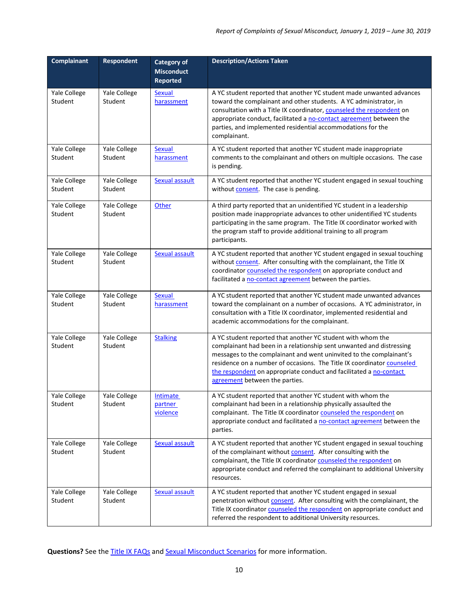| <b>Complainant</b>      | Respondent              | Category of<br><b>Misconduct</b><br><b>Reported</b> | <b>Description/Actions Taken</b>                                                                                                                                                                                                                                                                                                                                                             |
|-------------------------|-------------------------|-----------------------------------------------------|----------------------------------------------------------------------------------------------------------------------------------------------------------------------------------------------------------------------------------------------------------------------------------------------------------------------------------------------------------------------------------------------|
| Yale College<br>Student | Yale College<br>Student | <b>Sexual</b><br>harassment                         | A YC student reported that another YC student made unwanted advances<br>toward the complainant and other students. A YC administrator, in<br>consultation with a Title IX coordinator, counseled the respondent on<br>appropriate conduct, facilitated a no-contact agreement between the<br>parties, and implemented residential accommodations for the<br>complainant.                     |
| Yale College<br>Student | Yale College<br>Student | <b>Sexual</b><br>harassment                         | A YC student reported that another YC student made inappropriate<br>comments to the complainant and others on multiple occasions. The case<br>is pending.                                                                                                                                                                                                                                    |
| Yale College<br>Student | Yale College<br>Student | <b>Sexual assault</b>                               | A YC student reported that another YC student engaged in sexual touching<br>without consent. The case is pending.                                                                                                                                                                                                                                                                            |
| Yale College<br>Student | Yale College<br>Student | Other                                               | A third party reported that an unidentified YC student in a leadership<br>position made inappropriate advances to other unidentified YC students<br>participating in the same program. The Title IX coordinator worked with<br>the program staff to provide additional training to all program<br>participants.                                                                              |
| Yale College<br>Student | Yale College<br>Student | <b>Sexual assault</b>                               | A YC student reported that another YC student engaged in sexual touching<br>without consent. After consulting with the complainant, the Title IX<br>coordinator counseled the respondent on appropriate conduct and<br>facilitated a no-contact agreement between the parties.                                                                                                               |
| Yale College<br>Student | Yale College<br>Student | <b>Sexual</b><br>harassment                         | A YC student reported that another YC student made unwanted advances<br>toward the complainant on a number of occasions. A YC administrator, in<br>consultation with a Title IX coordinator, implemented residential and<br>academic accommodations for the complainant.                                                                                                                     |
| Yale College<br>Student | Yale College<br>Student | <b>Stalking</b>                                     | A YC student reported that another YC student with whom the<br>complainant had been in a relationship sent unwanted and distressing<br>messages to the complainant and went uninvited to the complainant's<br>residence on a number of occasions. The Title IX coordinator counseled<br>the respondent on appropriate conduct and facilitated a no-contact<br>agreement between the parties. |
| Yale College<br>Student | Yale College<br>Student | Intimate<br><u>partner</u><br>violence              | A YC student reported that another YC student with whom the<br>complainant had been in a relationship physically assaulted the<br>complainant. The Title IX coordinator counseled the respondent on<br>appropriate conduct and facilitated a no-contact agreement between the<br>parties.                                                                                                    |
| Yale College<br>Student | Yale College<br>Student | Sexual assault                                      | A YC student reported that another YC student engaged in sexual touching<br>of the complainant without consent. After consulting with the<br>complainant, the Title IX coordinator counseled the respondent on<br>appropriate conduct and referred the complainant to additional University<br>resources.                                                                                    |
| Yale College<br>Student | Yale College<br>Student | <b>Sexual assault</b>                               | A YC student reported that another YC student engaged in sexual<br>penetration without consent. After consulting with the complainant, the<br>Title IX coordinator counseled the respondent on appropriate conduct and<br>referred the respondent to additional University resources.                                                                                                        |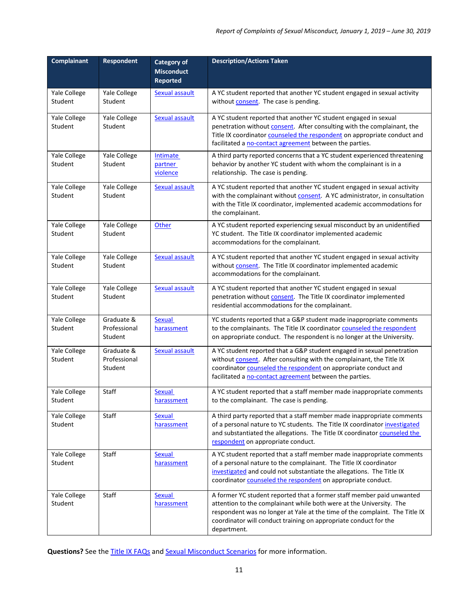| <b>Complainant</b>      | <b>Respondent</b>                     | <b>Category of</b><br><b>Misconduct</b><br><b>Reported</b> | <b>Description/Actions Taken</b>                                                                                                                                                                                                                                                                               |
|-------------------------|---------------------------------------|------------------------------------------------------------|----------------------------------------------------------------------------------------------------------------------------------------------------------------------------------------------------------------------------------------------------------------------------------------------------------------|
| Yale College<br>Student | Yale College<br>Student               | Sexual assault                                             | A YC student reported that another YC student engaged in sexual activity<br>without <b>consent</b> . The case is pending.                                                                                                                                                                                      |
| Yale College<br>Student | Yale College<br>Student               | <b>Sexual assault</b>                                      | A YC student reported that another YC student engaged in sexual<br>penetration without consent. After consulting with the complainant, the<br>Title IX coordinator counseled the respondent on appropriate conduct and<br>facilitated a no-contact agreement between the parties.                              |
| Yale College<br>Student | Yale College<br>Student               | <b>Intimate</b><br>partner<br>violence                     | A third party reported concerns that a YC student experienced threatening<br>behavior by another YC student with whom the complainant is in a<br>relationship. The case is pending.                                                                                                                            |
| Yale College<br>Student | Yale College<br>Student               | <b>Sexual assault</b>                                      | A YC student reported that another YC student engaged in sexual activity<br>with the complainant without consent. A YC administrator, in consultation<br>with the Title IX coordinator, implemented academic accommodations for<br>the complainant.                                                            |
| Yale College<br>Student | Yale College<br>Student               | Other                                                      | A YC student reported experiencing sexual misconduct by an unidentified<br>YC student. The Title IX coordinator implemented academic<br>accommodations for the complainant.                                                                                                                                    |
| Yale College<br>Student | Yale College<br>Student               | <b>Sexual assault</b>                                      | A YC student reported that another YC student engaged in sexual activity<br>without consent. The Title IX coordinator implemented academic<br>accommodations for the complainant.                                                                                                                              |
| Yale College<br>Student | Yale College<br>Student               | Sexual assault                                             | A YC student reported that another YC student engaged in sexual<br>penetration without consent. The Title IX coordinator implemented<br>residential accommodations for the complainant.                                                                                                                        |
| Yale College<br>Student | Graduate &<br>Professional<br>Student | <b>Sexual</b><br>harassment                                | YC students reported that a G&P student made inappropriate comments<br>to the complainants. The Title IX coordinator counseled the respondent<br>on appropriate conduct. The respondent is no longer at the University.                                                                                        |
| Yale College<br>Student | Graduate &<br>Professional<br>Student | Sexual assault                                             | A YC student reported that a G&P student engaged in sexual penetration<br>without consent. After consulting with the complainant, the Title IX<br>coordinator counseled the respondent on appropriate conduct and<br>facilitated a no-contact agreement between the parties.                                   |
| Yale College<br>Student | Staff                                 | Sexual<br>harassment                                       | A YC student reported that a staff member made inappropriate comments<br>to the complainant. The case is pending.                                                                                                                                                                                              |
| Yale College<br>Student | Staff                                 | <b>Sexual</b><br>harassment                                | A third party reported that a staff member made inappropriate comments<br>of a personal nature to YC students. The Title IX coordinator investigated<br>and substantiated the allegations. The Title IX coordinator counseled the<br>respondent on appropriate conduct.                                        |
| Yale College<br>Student | Staff                                 | Sexual<br>harassment                                       | A YC student reported that a staff member made inappropriate comments<br>of a personal nature to the complainant. The Title IX coordinator<br>investigated and could not substantiate the allegations. The Title IX<br>coordinator counseled the respondent on appropriate conduct.                            |
| Yale College<br>Student | Staff                                 | Sexual<br>harassment                                       | A former YC student reported that a former staff member paid unwanted<br>attention to the complainant while both were at the University. The<br>respondent was no longer at Yale at the time of the complaint. The Title IX<br>coordinator will conduct training on appropriate conduct for the<br>department. |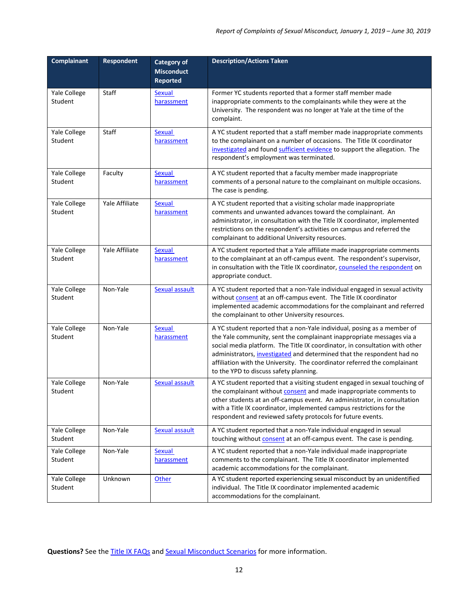| Complainant             | <b>Respondent</b> | Category of<br><b>Misconduct</b><br><b>Reported</b> | <b>Description/Actions Taken</b>                                                                                                                                                                                                                                                                                                                                                                                                 |
|-------------------------|-------------------|-----------------------------------------------------|----------------------------------------------------------------------------------------------------------------------------------------------------------------------------------------------------------------------------------------------------------------------------------------------------------------------------------------------------------------------------------------------------------------------------------|
| Yale College<br>Student | Staff             | <b>Sexual</b><br>harassment                         | Former YC students reported that a former staff member made<br>inappropriate comments to the complainants while they were at the<br>University. The respondent was no longer at Yale at the time of the<br>complaint.                                                                                                                                                                                                            |
| Yale College<br>Student | Staff             | <b>Sexual</b><br>harassment                         | A YC student reported that a staff member made inappropriate comments<br>to the complainant on a number of occasions. The Title IX coordinator<br>investigated and found sufficient evidence to support the allegation. The<br>respondent's employment was terminated.                                                                                                                                                           |
| Yale College<br>Student | Faculty           | Sexual<br>harassment                                | A YC student reported that a faculty member made inappropriate<br>comments of a personal nature to the complainant on multiple occasions.<br>The case is pending.                                                                                                                                                                                                                                                                |
| Yale College<br>Student | Yale Affiliate    | <b>Sexual</b><br>harassment                         | A YC student reported that a visiting scholar made inappropriate<br>comments and unwanted advances toward the complainant. An<br>administrator, in consultation with the Title IX coordinator, implemented<br>restrictions on the respondent's activities on campus and referred the<br>complainant to additional University resources.                                                                                          |
| Yale College<br>Student | Yale Affiliate    | <b>Sexual</b><br>harassment                         | A YC student reported that a Yale affiliate made inappropriate comments<br>to the complainant at an off-campus event. The respondent's supervisor,<br>in consultation with the Title IX coordinator, counseled the respondent on<br>appropriate conduct.                                                                                                                                                                         |
| Yale College<br>Student | Non-Yale          | <b>Sexual assault</b>                               | A YC student reported that a non-Yale individual engaged in sexual activity<br>without consent at an off-campus event. The Title IX coordinator<br>implemented academic accommodations for the complainant and referred<br>the complainant to other University resources.                                                                                                                                                        |
| Yale College<br>Student | Non-Yale          | <b>Sexual</b><br>harassment                         | A YC student reported that a non-Yale individual, posing as a member of<br>the Yale community, sent the complainant inappropriate messages via a<br>social media platform. The Title IX coordinator, in consultation with other<br>administrators, investigated and determined that the respondent had no<br>affiliation with the University. The coordinator referred the complainant<br>to the YPD to discuss safety planning. |
| Yale College<br>Student | Non-Yale          | <b>Sexual assault</b>                               | A YC student reported that a visiting student engaged in sexual touching of<br>the complainant without <b>consent</b> and made inappropriate comments to<br>other students at an off-campus event. An administrator, in consultation<br>with a Title IX coordinator, implemented campus restrictions for the<br>respondent and reviewed safety protocols for future events.                                                      |
| Yale College<br>Student | Non-Yale          | <b>Sexual assault</b>                               | A YC student reported that a non-Yale individual engaged in sexual<br>touching without consent at an off-campus event. The case is pending.                                                                                                                                                                                                                                                                                      |
| Yale College<br>Student | Non-Yale          | Sexual<br>harassment                                | A YC student reported that a non-Yale individual made inappropriate<br>comments to the complainant. The Title IX coordinator implemented<br>academic accommodations for the complainant.                                                                                                                                                                                                                                         |
| Yale College<br>Student | Unknown           | Other                                               | A YC student reported experiencing sexual misconduct by an unidentified<br>individual. The Title IX coordinator implemented academic<br>accommodations for the complainant.                                                                                                                                                                                                                                                      |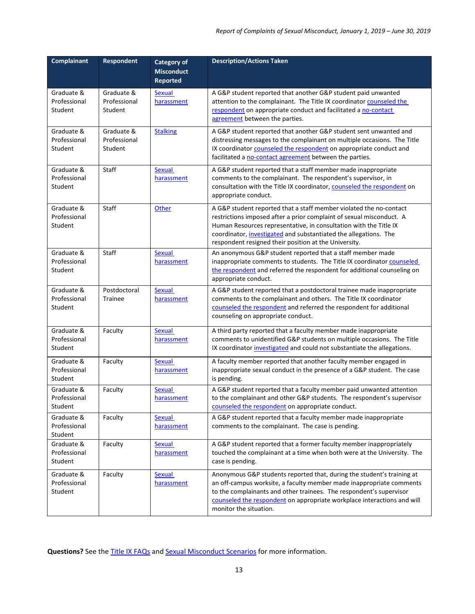| <b>Complainant</b>                    | Respondent                            | <b>Category of</b><br><b>Misconduct</b><br><b>Reported</b> | <b>Description/Actions Taken</b>                                                                                                                                                                                                                                                                                                             |
|---------------------------------------|---------------------------------------|------------------------------------------------------------|----------------------------------------------------------------------------------------------------------------------------------------------------------------------------------------------------------------------------------------------------------------------------------------------------------------------------------------------|
| Graduate &<br>Professional<br>Student | Graduate &<br>Professional<br>Student | Sexual<br>harassment                                       | A G&P student reported that another G&P student paid unwanted<br>attention to the complainant. The Title IX coordinator counseled the<br>respondent on appropriate conduct and facilitated a no-contact<br>agreement between the parties.                                                                                                    |
| Graduate &<br>Professional<br>Student | Graduate &<br>Professional<br>Student | <b>Stalking</b>                                            | A G&P student reported that another G&P student sent unwanted and<br>distressing messages to the complainant on multiple occasions. The Title<br>IX coordinator counseled the respondent on appropriate conduct and<br>facilitated a no-contact agreement between the parties.                                                               |
| Graduate &<br>Professional<br>Student | Staff                                 | <b>Sexual</b><br>harassment                                | A G&P student reported that a staff member made inappropriate<br>comments to the complainant. The respondent's supervisor, in<br>consultation with the Title IX coordinator, counseled the respondent on<br>appropriate conduct.                                                                                                             |
| Graduate &<br>Professional<br>Student | Staff                                 | Other                                                      | A G&P student reported that a staff member violated the no-contact<br>restrictions imposed after a prior complaint of sexual misconduct. A<br>Human Resources representative, in consultation with the Title IX<br>coordinator, investigated and substantiated the allegations. The<br>respondent resigned their position at the University. |
| Graduate &<br>Professional<br>Student | <b>Staff</b>                          | <b>Sexual</b><br>harassment                                | An anonymous G&P student reported that a staff member made<br>inappropriate comments to students. The Title IX coordinator counseled<br>the respondent and referred the respondent for additional counseling on<br>appropriate conduct.                                                                                                      |
| Graduate &<br>Professional<br>Student | Postdoctoral<br><b>Trainee</b>        | <b>Sexual</b><br>harassment                                | A G&P student reported that a postdoctoral trainee made inappropriate<br>comments to the complainant and others. The Title IX coordinator<br>counseled the respondent and referred the respondent for additional<br>counseling on appropriate conduct.                                                                                       |
| Graduate &<br>Professional<br>Student | Faculty                               | <b>Sexual</b><br>harassment                                | A third party reported that a faculty member made inappropriate<br>comments to unidentified G&P students on multiple occasions. The Title<br>IX coordinator investigated and could not substantiate the allegations.                                                                                                                         |
| Graduate &<br>Professional<br>Student | Faculty                               | <b>Sexual</b><br>harassment                                | A faculty member reported that another faculty member engaged in<br>inappropriate sexual conduct in the presence of a G&P student. The case<br>is pending.                                                                                                                                                                                   |
| Graduate &<br>Professional<br>Student | Faculty                               | <b>Sexual</b><br>harassment                                | A G&P student reported that a faculty member paid unwanted attention<br>to the complainant and other G&P students. The respondent's supervisor<br>counseled the respondent on appropriate conduct.                                                                                                                                           |
| Graduate &<br>Professional<br>Student | Faculty                               | <b>Sexual</b><br>harassment                                | A G&P student reported that a faculty member made inappropriate<br>comments to the complainant. The case is pending.                                                                                                                                                                                                                         |
| Graduate &<br>Professional<br>Student | Faculty                               | <b>Sexual</b><br>harassment                                | A G&P student reported that a former faculty member inappropriately<br>touched the complainant at a time when both were at the University. The<br>case is pending.                                                                                                                                                                           |
| Graduate &<br>Professional<br>Student | Faculty                               | Sexual<br>harassment                                       | Anonymous G&P students reported that, during the student's training at<br>an off-campus worksite, a faculty member made inappropriate comments<br>to the complainants and other trainees. The respondent's supervisor<br>counseled the respondent on appropriate workplace interactions and will<br>monitor the situation.                   |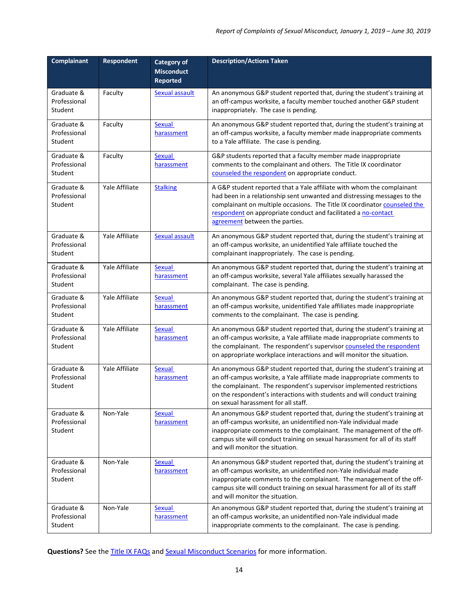| <b>Complainant</b>                    | Respondent     | <b>Category of</b><br><b>Misconduct</b><br><b>Reported</b> | <b>Description/Actions Taken</b>                                                                                                                                                                                                                                                                                                                |
|---------------------------------------|----------------|------------------------------------------------------------|-------------------------------------------------------------------------------------------------------------------------------------------------------------------------------------------------------------------------------------------------------------------------------------------------------------------------------------------------|
| Graduate &<br>Professional<br>Student | Faculty        | Sexual assault                                             | An anonymous G&P student reported that, during the student's training at<br>an off-campus worksite, a faculty member touched another G&P student<br>inappropriately. The case is pending.                                                                                                                                                       |
| Graduate &<br>Professional<br>Student | Faculty        | <b>Sexual</b><br>harassment                                | An anonymous G&P student reported that, during the student's training at<br>an off-campus worksite, a faculty member made inappropriate comments<br>to a Yale affiliate. The case is pending.                                                                                                                                                   |
| Graduate &<br>Professional<br>Student | Faculty        | Sexual<br>harassment                                       | G&P students reported that a faculty member made inappropriate<br>comments to the complainant and others. The Title IX coordinator<br>counseled the respondent on appropriate conduct.                                                                                                                                                          |
| Graduate &<br>Professional<br>Student | Yale Affiliate | <b>Stalking</b>                                            | A G&P student reported that a Yale affiliate with whom the complainant<br>had been in a relationship sent unwanted and distressing messages to the<br>complainant on multiple occasions. The Title IX coordinator counseled the<br>respondent on appropriate conduct and facilitated a no-contact<br>agreement between the parties.             |
| Graduate &<br>Professional<br>Student | Yale Affiliate | <b>Sexual assault</b>                                      | An anonymous G&P student reported that, during the student's training at<br>an off-campus worksite, an unidentified Yale affiliate touched the<br>complainant inappropriately. The case is pending.                                                                                                                                             |
| Graduate &<br>Professional<br>Student | Yale Affiliate | <b>Sexual</b><br>harassment                                | An anonymous G&P student reported that, during the student's training at<br>an off-campus worksite, several Yale affiliates sexually harassed the<br>complainant. The case is pending.                                                                                                                                                          |
| Graduate &<br>Professional<br>Student | Yale Affiliate | <b>Sexual</b><br>harassment                                | An anonymous G&P student reported that, during the student's training at<br>an off-campus worksite, unidentified Yale affiliates made inappropriate<br>comments to the complainant. The case is pending.                                                                                                                                        |
| Graduate &<br>Professional<br>Student | Yale Affiliate | <b>Sexual</b><br>harassment                                | An anonymous G&P student reported that, during the student's training at<br>an off-campus worksite, a Yale affiliate made inappropriate comments to<br>the complainant. The respondent's supervisor counseled the respondent<br>on appropriate workplace interactions and will monitor the situation.                                           |
| Graduate &<br>Professional<br>Student | Yale Affiliate | <b>Sexual</b><br>harassment                                | An anonymous G&P student reported that, during the student's training at<br>an off-campus worksite, a Yale affiliate made inappropriate comments to<br>the complainant. The respondent's supervisor implemented restrictions<br>on the respondent's interactions with students and will conduct training<br>on sexual harassment for all staff. |
| Graduate &<br>Professional<br>Student | Non-Yale       | Sexual<br>harassment                                       | An anonymous G&P student reported that, during the student's training at<br>an off-campus worksite, an unidentified non-Yale individual made<br>inappropriate comments to the complainant. The management of the off-<br>campus site will conduct training on sexual harassment for all of its staff<br>and will monitor the situation.         |
| Graduate &<br>Professional<br>Student | Non-Yale       | <b>Sexual</b><br>harassment                                | An anonymous G&P student reported that, during the student's training at<br>an off-campus worksite, an unidentified non-Yale individual made<br>inappropriate comments to the complainant. The management of the off-<br>campus site will conduct training on sexual harassment for all of its staff<br>and will monitor the situation.         |
| Graduate &<br>Professional<br>Student | Non-Yale       | Sexual<br>harassment                                       | An anonymous G&P student reported that, during the student's training at<br>an off-campus worksite, an unidentified non-Yale individual made<br>inappropriate comments to the complainant. The case is pending.                                                                                                                                 |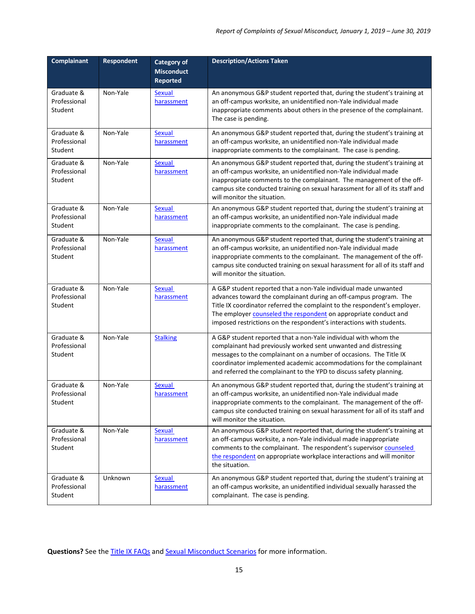| <b>Complainant</b>                    | Respondent | <b>Category of</b><br><b>Misconduct</b><br><b>Reported</b> | <b>Description/Actions Taken</b>                                                                                                                                                                                                                                                                                                                              |
|---------------------------------------|------------|------------------------------------------------------------|---------------------------------------------------------------------------------------------------------------------------------------------------------------------------------------------------------------------------------------------------------------------------------------------------------------------------------------------------------------|
| Graduate &<br>Professional<br>Student | Non-Yale   | Sexual<br>harassment                                       | An anonymous G&P student reported that, during the student's training at<br>an off-campus worksite, an unidentified non-Yale individual made<br>inappropriate comments about others in the presence of the complainant.<br>The case is pending.                                                                                                               |
| Graduate &<br>Professional<br>Student | Non-Yale   | <b>Sexual</b><br>harassment                                | An anonymous G&P student reported that, during the student's training at<br>an off-campus worksite, an unidentified non-Yale individual made<br>inappropriate comments to the complainant. The case is pending.                                                                                                                                               |
| Graduate &<br>Professional<br>Student | Non-Yale   | <b>Sexual</b><br>harassment                                | An anonymous G&P student reported that, during the student's training at<br>an off-campus worksite, an unidentified non-Yale individual made<br>inappropriate comments to the complainant. The management of the off-<br>campus site conducted training on sexual harassment for all of its staff and<br>will monitor the situation.                          |
| Graduate &<br>Professional<br>Student | Non-Yale   | <b>Sexual</b><br>harassment                                | An anonymous G&P student reported that, during the student's training at<br>an off-campus worksite, an unidentified non-Yale individual made<br>inappropriate comments to the complainant. The case is pending.                                                                                                                                               |
| Graduate &<br>Professional<br>Student | Non-Yale   | <b>Sexual</b><br>harassment                                | An anonymous G&P student reported that, during the student's training at<br>an off-campus worksite, an unidentified non-Yale individual made<br>inappropriate comments to the complainant. The management of the off-<br>campus site conducted training on sexual harassment for all of its staff and<br>will monitor the situation.                          |
| Graduate &<br>Professional<br>Student | Non-Yale   | <b>Sexual</b><br>harassment                                | A G&P student reported that a non-Yale individual made unwanted<br>advances toward the complainant during an off-campus program. The<br>Title IX coordinator referred the complaint to the respondent's employer.<br>The employer counseled the respondent on appropriate conduct and<br>imposed restrictions on the respondent's interactions with students. |
| Graduate &<br>Professional<br>Student | Non-Yale   | <b>Stalking</b>                                            | A G&P student reported that a non-Yale individual with whom the<br>complainant had previously worked sent unwanted and distressing<br>messages to the complainant on a number of occasions. The Title IX<br>coordinator implemented academic accommodations for the complainant<br>and referred the complainant to the YPD to discuss safety planning.        |
| Graduate &<br>Professional<br>Student | Non-Yale   | <b>Sexual</b><br>harassment                                | An anonymous G&P student reported that, during the student's training at<br>an off-campus worksite, an unidentified non-Yale individual made<br>inappropriate comments to the complainant. The management of the off-<br>campus site conducted training on sexual harassment for all of its staff and<br>will monitor the situation.                          |
| Graduate &<br>Professional<br>Student | Non-Yale   | <b>Sexual</b><br>harassment                                | An anonymous G&P student reported that, during the student's training at<br>an off-campus worksite, a non-Yale individual made inappropriate<br>comments to the complainant. The respondent's supervisor counseled<br>the respondent on appropriate workplace interactions and will monitor<br>the situation.                                                 |
| Graduate &<br>Professional<br>Student | Unknown    | <b>Sexual</b><br>harassment                                | An anonymous G&P student reported that, during the student's training at<br>an off-campus worksite, an unidentified individual sexually harassed the<br>complainant. The case is pending.                                                                                                                                                                     |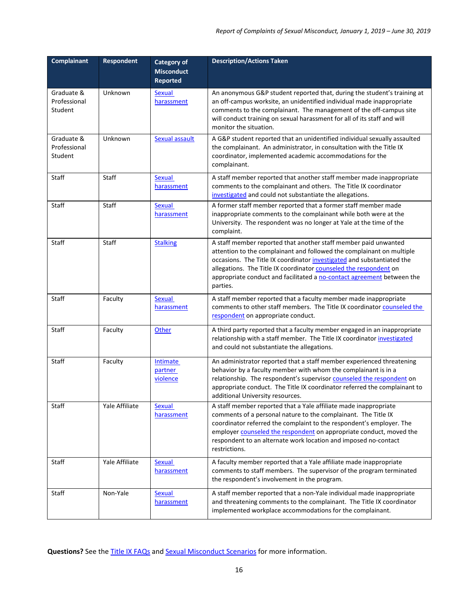| Complainant                           | Respondent     | <b>Category of</b><br><b>Misconduct</b><br><b>Reported</b> | <b>Description/Actions Taken</b>                                                                                                                                                                                                                                                                                                                                              |
|---------------------------------------|----------------|------------------------------------------------------------|-------------------------------------------------------------------------------------------------------------------------------------------------------------------------------------------------------------------------------------------------------------------------------------------------------------------------------------------------------------------------------|
| Graduate &<br>Professional<br>Student | Unknown        | <b>Sexual</b><br>harassment                                | An anonymous G&P student reported that, during the student's training at<br>an off-campus worksite, an unidentified individual made inappropriate<br>comments to the complainant. The management of the off-campus site<br>will conduct training on sexual harassment for all of its staff and will<br>monitor the situation.                                                 |
| Graduate &<br>Professional<br>Student | Unknown        | <b>Sexual assault</b>                                      | A G&P student reported that an unidentified individual sexually assaulted<br>the complainant. An administrator, in consultation with the Title IX<br>coordinator, implemented academic accommodations for the<br>complainant.                                                                                                                                                 |
| Staff                                 | Staff          | <b>Sexual</b><br>harassment                                | A staff member reported that another staff member made inappropriate<br>comments to the complainant and others. The Title IX coordinator<br>investigated and could not substantiate the allegations.                                                                                                                                                                          |
| Staff                                 | Staff          | <b>Sexual</b><br>harassment                                | A former staff member reported that a former staff member made<br>inappropriate comments to the complainant while both were at the<br>University. The respondent was no longer at Yale at the time of the<br>complaint.                                                                                                                                                       |
| Staff                                 | Staff          | <b>Stalking</b>                                            | A staff member reported that another staff member paid unwanted<br>attention to the complainant and followed the complainant on multiple<br>occasions. The Title IX coordinator investigated and substantiated the<br>allegations. The Title IX coordinator counseled the respondent on<br>appropriate conduct and facilitated a no-contact agreement between the<br>parties. |
| Staff                                 | Faculty        | <b>Sexual</b><br>harassment                                | A staff member reported that a faculty member made inappropriate<br>comments to other staff members. The Title IX coordinator counseled the<br>respondent on appropriate conduct.                                                                                                                                                                                             |
| Staff                                 | Faculty        | Other                                                      | A third party reported that a faculty member engaged in an inappropriate<br>relationship with a staff member. The Title IX coordinator investigated<br>and could not substantiate the allegations.                                                                                                                                                                            |
| Staff                                 | Faculty        | <b>Intimate</b><br>partner<br>violence                     | An administrator reported that a staff member experienced threatening<br>behavior by a faculty member with whom the complainant is in a<br>relationship. The respondent's supervisor counseled the respondent on<br>appropriate conduct. The Title IX coordinator referred the complainant to<br>additional University resources.                                             |
| Staff                                 | Yale Affiliate | Sexual<br>harassment                                       | A staff member reported that a Yale affiliate made inappropriate<br>comments of a personal nature to the complainant. The Title IX<br>coordinator referred the complaint to the respondent's employer. The<br>employer counseled the respondent on appropriate conduct, moved the<br>respondent to an alternate work location and imposed no-contact<br>restrictions.         |
| Staff                                 | Yale Affiliate | Sexual<br>harassment                                       | A faculty member reported that a Yale affiliate made inappropriate<br>comments to staff members. The supervisor of the program terminated<br>the respondent's involvement in the program.                                                                                                                                                                                     |
| Staff                                 | Non-Yale       | <b>Sexual</b><br>harassment                                | A staff member reported that a non-Yale individual made inappropriate<br>and threatening comments to the complainant. The Title IX coordinator<br>implemented workplace accommodations for the complainant.                                                                                                                                                                   |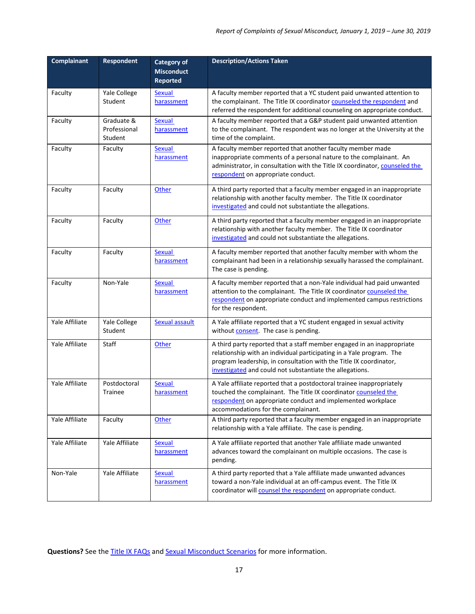| <b>Complainant</b> | <b>Respondent</b>                     | <b>Category of</b><br><b>Misconduct</b><br><b>Reported</b> | <b>Description/Actions Taken</b>                                                                                                                                                                                                                                                 |
|--------------------|---------------------------------------|------------------------------------------------------------|----------------------------------------------------------------------------------------------------------------------------------------------------------------------------------------------------------------------------------------------------------------------------------|
| Faculty            | Yale College<br>Student               | Sexual<br>harassment                                       | A faculty member reported that a YC student paid unwanted attention to<br>the complainant. The Title IX coordinator counseled the respondent and<br>referred the respondent for additional counseling on appropriate conduct.                                                    |
| Faculty            | Graduate &<br>Professional<br>Student | Sexual<br>harassment                                       | A faculty member reported that a G&P student paid unwanted attention<br>to the complainant. The respondent was no longer at the University at the<br>time of the complaint.                                                                                                      |
| Faculty            | Faculty                               | Sexual<br>harassment                                       | A faculty member reported that another faculty member made<br>inappropriate comments of a personal nature to the complainant. An<br>administrator, in consultation with the Title IX coordinator, counseled the<br>respondent on appropriate conduct.                            |
| Faculty            | Faculty                               | Other                                                      | A third party reported that a faculty member engaged in an inappropriate<br>relationship with another faculty member. The Title IX coordinator<br>investigated and could not substantiate the allegations.                                                                       |
| Faculty            | Faculty                               | Other                                                      | A third party reported that a faculty member engaged in an inappropriate<br>relationship with another faculty member. The Title IX coordinator<br>investigated and could not substantiate the allegations.                                                                       |
| Faculty            | Faculty                               | <b>Sexual</b><br>harassment                                | A faculty member reported that another faculty member with whom the<br>complainant had been in a relationship sexually harassed the complainant.<br>The case is pending.                                                                                                         |
| Faculty            | Non-Yale                              | <b>Sexual</b><br>harassment                                | A faculty member reported that a non-Yale individual had paid unwanted<br>attention to the complainant. The Title IX coordinator counseled the<br>respondent on appropriate conduct and implemented campus restrictions<br>for the respondent.                                   |
| Yale Affiliate     | Yale College<br>Student               | Sexual assault                                             | A Yale affiliate reported that a YC student engaged in sexual activity<br>without <b>consent</b> . The case is pending.                                                                                                                                                          |
| Yale Affiliate     | Staff                                 | Other                                                      | A third party reported that a staff member engaged in an inappropriate<br>relationship with an individual participating in a Yale program. The<br>program leadership, in consultation with the Title IX coordinator,<br>investigated and could not substantiate the allegations. |
| Yale Affiliate     | Postdoctoral<br>Trainee               | Sexual<br>harassment                                       | A Yale affiliate reported that a postdoctoral trainee inappropriately<br>touched the complainant. The Title IX coordinator counseled the<br>respondent on appropriate conduct and implemented workplace<br>accommodations for the complainant.                                   |
| Yale Affiliate     | Faculty                               | Other                                                      | A third party reported that a faculty member engaged in an inappropriate<br>relationship with a Yale affiliate. The case is pending.                                                                                                                                             |
| Yale Affiliate     | Yale Affiliate                        | <b>Sexual</b><br>harassment                                | A Yale affiliate reported that another Yale affiliate made unwanted<br>advances toward the complainant on multiple occasions. The case is<br>pending.                                                                                                                            |
| Non-Yale           | Yale Affiliate                        | <b>Sexual</b><br>harassment                                | A third party reported that a Yale affiliate made unwanted advances<br>toward a non-Yale individual at an off-campus event. The Title IX<br>coordinator will counsel the respondent on appropriate conduct.                                                                      |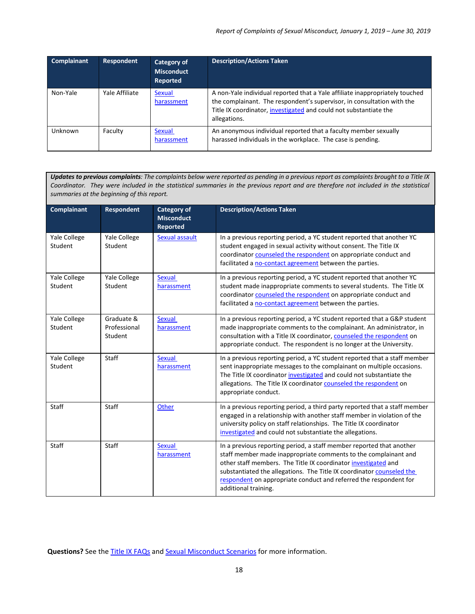| <b>Complainant</b> | <b>Respondent</b> | Category of<br><b>Misconduct</b><br>Reported | <b>Description/Actions Taken</b>                                                                                                                                                                                                            |
|--------------------|-------------------|----------------------------------------------|---------------------------------------------------------------------------------------------------------------------------------------------------------------------------------------------------------------------------------------------|
| Non-Yale           | Yale Affiliate    | Sexual<br>harassment                         | A non-Yale individual reported that a Yale affiliate inappropriately touched<br>the complainant. The respondent's supervisor, in consultation with the<br>Title IX coordinator, investigated and could not substantiate the<br>allegations. |
| Unknown            | Faculty           | Sexual<br>harassment                         | An anonymous individual reported that a faculty member sexually<br>harassed individuals in the workplace. The case is pending.                                                                                                              |

*Updates to previous complaints: The complaints below were reported as pending in a previous report as complaints brought to a Title IX Coordinator. They were included in the statistical summaries in the previous report and are therefore not included in the statistical summaries at the beginning of this report.*

| <b>Complainant</b>      | <b>Respondent</b>                     | <b>Category of</b><br><b>Misconduct</b><br><b>Reported</b> | <b>Description/Actions Taken</b>                                                                                                                                                                                                                                                                                                                                                |
|-------------------------|---------------------------------------|------------------------------------------------------------|---------------------------------------------------------------------------------------------------------------------------------------------------------------------------------------------------------------------------------------------------------------------------------------------------------------------------------------------------------------------------------|
| Yale College<br>Student | Yale College<br>Student               | Sexual assault                                             | In a previous reporting period, a YC student reported that another YC<br>student engaged in sexual activity without consent. The Title IX<br>coordinator counseled the respondent on appropriate conduct and<br>facilitated a no-contact agreement between the parties.                                                                                                         |
| Yale College<br>Student | Yale College<br>Student               | <b>Sexual</b><br>harassment                                | In a previous reporting period, a YC student reported that another YC<br>student made inappropriate comments to several students. The Title IX<br>coordinator counseled the respondent on appropriate conduct and<br>facilitated a no-contact agreement between the parties.                                                                                                    |
| Yale College<br>Student | Graduate &<br>Professional<br>Student | <b>Sexual</b><br>harassment                                | In a previous reporting period, a YC student reported that a G&P student<br>made inappropriate comments to the complainant. An administrator, in<br>consultation with a Title IX coordinator, counseled the respondent on<br>appropriate conduct. The respondent is no longer at the University.                                                                                |
| Yale College<br>Student | Staff                                 | <b>Sexual</b><br>harassment                                | In a previous reporting period, a YC student reported that a staff member<br>sent inappropriate messages to the complainant on multiple occasions.<br>The Title IX coordinator investigated and could not substantiate the<br>allegations. The Title IX coordinator counseled the respondent on<br>appropriate conduct.                                                         |
| <b>Staff</b>            | Staff                                 | Other                                                      | In a previous reporting period, a third party reported that a staff member<br>engaged in a relationship with another staff member in violation of the<br>university policy on staff relationships. The Title IX coordinator<br>investigated and could not substantiate the allegations.                                                                                         |
| <b>Staff</b>            | Staff                                 | <b>Sexual</b><br>harassment                                | In a previous reporting period, a staff member reported that another<br>staff member made inappropriate comments to the complainant and<br>other staff members. The Title IX coordinator investigated and<br>substantiated the allegations. The Title IX coordinator counseled the<br>respondent on appropriate conduct and referred the respondent for<br>additional training. |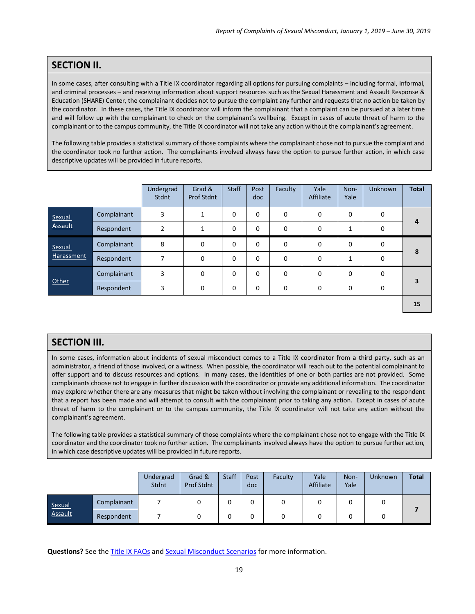## **SECTION II.**

In some cases, after consulting with a Title IX coordinator regarding all options for pursuing complaints – including formal, informal, and criminal processes – and receiving information about support resources such as the Sexual Harassment and Assault Response & Education (SHARE) Center, the complainant decides not to pursue the complaint any further and requests that no action be taken by the coordinator. In these cases, the Title IX coordinator will inform the complainant that a complaint can be pursued at a later time and will follow up with the complainant to check on the complainant's wellbeing. Except in cases of acute threat of harm to the complainant or to the campus community, the Title IX coordinator will not take any action without the complainant's agreement.

The following table provides a statistical summary of those complaints where the complainant chose not to pursue the complaint and the coordinator took no further action. The complainants involved always have the option to pursue further action, in which case descriptive updates will be provided in future reports.

|                          |             | Undergrad<br>Stdnt | Grad &<br><b>Prof Stdnt</b> | <b>Staff</b> | Post<br>doc | Faculty     | Yale<br>Affiliate | Non-<br>Yale             | <b>Unknown</b> | <b>Total</b> |
|--------------------------|-------------|--------------------|-----------------------------|--------------|-------------|-------------|-------------------|--------------------------|----------------|--------------|
| Sexual<br><b>Assault</b> | Complainant | 3                  | 1                           | $\mathbf 0$  | 0           | 0           | $\mathbf 0$       | 0                        | $\mathbf 0$    |              |
|                          | Respondent  | 2                  |                             | $\Omega$     | $\Omega$    | 0           | $\Omega$          |                          | 0              | 4            |
| Sexual<br>Harassment     | Complainant | 8                  | 0                           | $\Omega$     | $\Omega$    | $\mathbf 0$ | $\Omega$          | $\Omega$                 | $\Omega$       | 8            |
|                          | Respondent  | 7                  | 0                           | $\Omega$     | 0           | $\mathbf 0$ | $\Omega$          | $\overline{\phantom{a}}$ | $\mathbf 0$    |              |
| Other                    | Complainant | 3                  | 0                           | $\Omega$     | $\Omega$    | $\mathbf 0$ | $\Omega$          | $\Omega$                 | 0              |              |
|                          | Respondent  | 3                  | 0                           | $\mathbf 0$  | 0           | 0           | $\Omega$          | 0                        | $\Omega$       | з            |
|                          |             |                    |                             |              |             |             |                   |                          |                |              |

**15**

### **SECTION III.**

In some cases, information about incidents of sexual misconduct comes to a Title IX coordinator from a third party, such as an administrator, a friend of those involved, or a witness. When possible, the coordinator will reach out to the potential complainant to offer support and to discuss resources and options. In many cases, the identities of one or both parties are not provided. Some complainants choose not to engage in further discussion with the coordinator or provide any additional information. The coordinator may explore whether there are any measures that might be taken without involving the complainant or revealing to the respondent that a report has been made and will attempt to consult with the complainant prior to taking any action. Except in cases of acute threat of harm to the complainant or to the campus community, the Title IX coordinator will not take any action without the complainant's agreement.

The following table provides a statistical summary of those complaints where the complainant chose not to engage with the Title IX coordinator and the coordinator took no further action. The complainants involved always have the option to pursue further action, in which case descriptive updates will be provided in future reports.

|                   |             | Undergrad<br><b>Stdnt</b> | Grad &<br>Prof Stdnt | <b>Staff</b> | Post<br>doc | Faculty | Yale<br>Affiliate | Non-<br>Yale | Unknown | <b>Total</b> |
|-------------------|-------------|---------------------------|----------------------|--------------|-------------|---------|-------------------|--------------|---------|--------------|
| Sexual<br>Assault | Complainant |                           |                      | υ            |             |         |                   |              |         |              |
|                   | Respondent  |                           |                      | υ            |             |         |                   | υ            |         |              |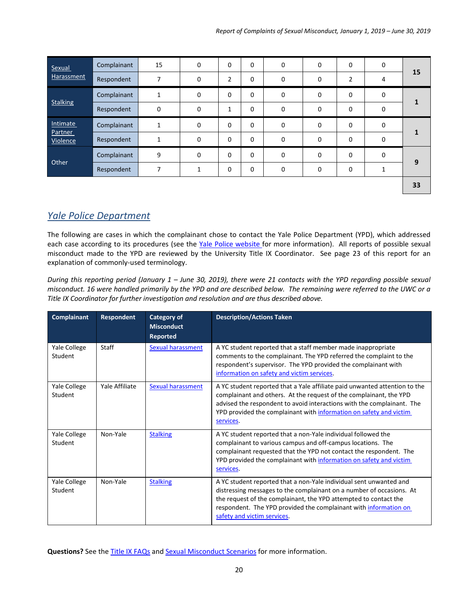| Sexual              | Complainant | 15          | 0           | 0            | $\mathbf 0$ | 0           | 0           | $\mathbf 0$    | 0           |    |
|---------------------|-------------|-------------|-------------|--------------|-------------|-------------|-------------|----------------|-------------|----|
| Harassment          | Respondent  | 7           | 0           | 2            | $\mathbf 0$ | $\mathbf 0$ | 0           | $\overline{2}$ | 4           | 15 |
|                     | Complainant | 1           | $\mathbf 0$ | $\mathbf 0$  | 0           | 0           | 0           | $\mathbf 0$    | $\mathbf 0$ |    |
| <b>Stalking</b>     | Respondent  | $\mathbf 0$ | 0           | $\mathbf{1}$ | 0           | 0           | $\mathbf 0$ | $\mathbf 0$    | 0           |    |
| <b>Intimate</b>     | Complainant | 1           | $\mathbf 0$ | $\mathbf 0$  | 0           | 0           | $\mathbf 0$ | $\mathbf 0$    | $\mathbf 0$ |    |
| Partner<br>Violence | Respondent  | 1           | 0           | $\mathbf 0$  | $\mathbf 0$ | 0           | $\mathbf 0$ | $\mathbf 0$    | $\mathbf 0$ |    |
| Other               | Complainant | 9           | $\mathbf 0$ | 0            | $\mathbf 0$ | 0           | 0           | $\mathbf 0$    | $\mathbf 0$ |    |
|                     | Respondent  | 7           | 1           | 0            | 0           | 0           | $\mathbf 0$ | $\mathbf 0$    | 1           | 9  |
|                     |             |             |             |              |             |             |             |                |             | 33 |

## <span id="page-19-0"></span>*Yale Police Department*

The following are cases in which the complainant chose to contact the Yale Police Department (YPD), which addressed each case according to its procedures (see the Yale Police [website](http://publicsafety.yale.edu/) for more information). All reports of possible sexual misconduct made to the YPD are reviewed by the University Title IX Coordinator. See page 23 of this report for an explanation of commonly-used terminology.

*During this reporting period (January 1 – June 30, 2019), there were 21 contacts with the YPD regarding possible sexual misconduct. 16 were handled primarily by the YPD and are described below. The remaining were referred to the UWC or a Title IX Coordinator for further investigation and resolution and are thus described above.*

| Complainant             | <b>Respondent</b> | <b>Category of</b><br><b>Misconduct</b><br><b>Reported</b> | <b>Description/Actions Taken</b>                                                                                                                                                                                                                                                                                  |
|-------------------------|-------------------|------------------------------------------------------------|-------------------------------------------------------------------------------------------------------------------------------------------------------------------------------------------------------------------------------------------------------------------------------------------------------------------|
| Yale College<br>Student | Staff             | <b>Sexual harassment</b>                                   | A YC student reported that a staff member made inappropriate<br>comments to the complainant. The YPD referred the complaint to the<br>respondent's supervisor. The YPD provided the complainant with<br>information on safety and victim services.                                                                |
| Yale College<br>Student | Yale Affiliate    | <b>Sexual harassment</b>                                   | A YC student reported that a Yale affiliate paid unwanted attention to the<br>complainant and others. At the request of the complainant, the YPD<br>advised the respondent to avoid interactions with the complainant. The<br>YPD provided the complainant with information on safety and victim<br>services.     |
| Yale College<br>Student | Non-Yale          | <b>Stalking</b>                                            | A YC student reported that a non-Yale individual followed the<br>complainant to various campus and off-campus locations. The<br>complainant requested that the YPD not contact the respondent. The<br>YPD provided the complainant with information on safety and victim<br>services.                             |
| Yale College<br>Student | Non-Yale          | <b>Stalking</b>                                            | A YC student reported that a non-Yale individual sent unwanted and<br>distressing messages to the complainant on a number of occasions. At<br>the request of the complainant, the YPD attempted to contact the<br>respondent. The YPD provided the complainant with information on<br>safety and victim services. |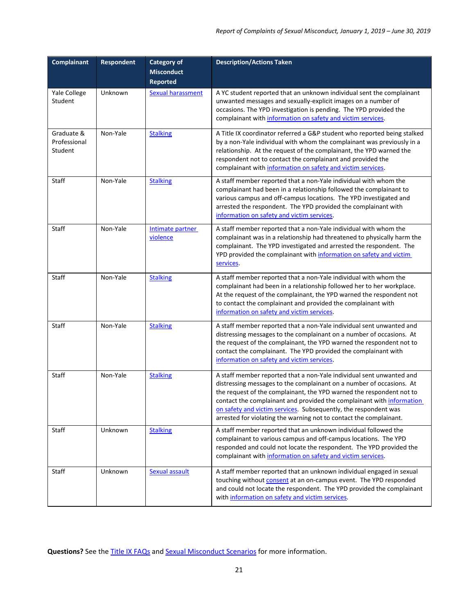| Complainant                           | <b>Respondent</b> | <b>Category of</b><br><b>Misconduct</b><br><b>Reported</b> | <b>Description/Actions Taken</b>                                                                                                                                                                                                                                                                                                                                                                                                       |
|---------------------------------------|-------------------|------------------------------------------------------------|----------------------------------------------------------------------------------------------------------------------------------------------------------------------------------------------------------------------------------------------------------------------------------------------------------------------------------------------------------------------------------------------------------------------------------------|
| Yale College<br>Student               | Unknown           | <b>Sexual harassment</b>                                   | A YC student reported that an unknown individual sent the complainant<br>unwanted messages and sexually-explicit images on a number of<br>occasions. The YPD investigation is pending. The YPD provided the<br>complainant with information on safety and victim services.                                                                                                                                                             |
| Graduate &<br>Professional<br>Student | Non-Yale          | <b>Stalking</b>                                            | A Title IX coordinator referred a G&P student who reported being stalked<br>by a non-Yale individual with whom the complainant was previously in a<br>relationship. At the request of the complainant, the YPD warned the<br>respondent not to contact the complainant and provided the<br>complainant with information on safety and victim services.                                                                                 |
| Staff                                 | Non-Yale          | <b>Stalking</b>                                            | A staff member reported that a non-Yale individual with whom the<br>complainant had been in a relationship followed the complainant to<br>various campus and off-campus locations. The YPD investigated and<br>arrested the respondent. The YPD provided the complainant with<br>information on safety and victim services.                                                                                                            |
| <b>Staff</b>                          | Non-Yale          | Intimate partner<br>violence                               | A staff member reported that a non-Yale individual with whom the<br>complainant was in a relationship had threatened to physically harm the<br>complainant. The YPD investigated and arrested the respondent. The<br>YPD provided the complainant with information on safety and victim<br>services.                                                                                                                                   |
| <b>Staff</b>                          | Non-Yale          | <b>Stalking</b>                                            | A staff member reported that a non-Yale individual with whom the<br>complainant had been in a relationship followed her to her workplace.<br>At the request of the complainant, the YPD warned the respondent not<br>to contact the complainant and provided the complainant with<br>information on safety and victim services.                                                                                                        |
| Staff                                 | Non-Yale          | <b>Stalking</b>                                            | A staff member reported that a non-Yale individual sent unwanted and<br>distressing messages to the complainant on a number of occasions. At<br>the request of the complainant, the YPD warned the respondent not to<br>contact the complainant. The YPD provided the complainant with<br>information on safety and victim services.                                                                                                   |
| Staff                                 | Non-Yale          | <b>Stalking</b>                                            | A staff member reported that a non-Yale individual sent unwanted and<br>distressing messages to the complainant on a number of occasions. At<br>the request of the complainant, the YPD warned the respondent not to<br>contact the complainant and provided the complainant with information<br>on safety and victim services. Subsequently, the respondent was<br>arrested for violating the warning not to contact the complainant. |
| Staff                                 | Unknown           | <b>Stalking</b>                                            | A staff member reported that an unknown individual followed the<br>complainant to various campus and off-campus locations. The YPD<br>responded and could not locate the respondent. The YPD provided the<br>complainant with information on safety and victim services.                                                                                                                                                               |
| Staff                                 | Unknown           | <b>Sexual assault</b>                                      | A staff member reported that an unknown individual engaged in sexual<br>touching without consent at an on-campus event. The YPD responded<br>and could not locate the respondent. The YPD provided the complainant<br>with information on safety and victim services.                                                                                                                                                                  |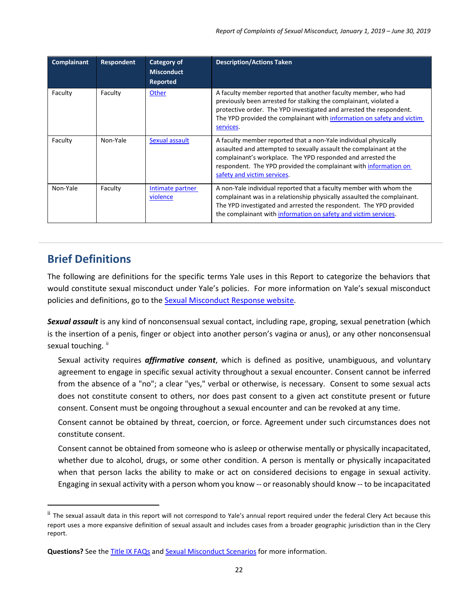| <b>Complainant</b> | Respondent | Category of<br><b>Misconduct</b><br><b>Reported</b> | <b>Description/Actions Taken</b>                                                                                                                                                                                                                                                                        |
|--------------------|------------|-----------------------------------------------------|---------------------------------------------------------------------------------------------------------------------------------------------------------------------------------------------------------------------------------------------------------------------------------------------------------|
| Faculty            | Faculty    | Other                                               | A faculty member reported that another faculty member, who had<br>previously been arrested for stalking the complainant, violated a<br>protective order. The YPD investigated and arrested the respondent.<br>The YPD provided the complainant with information on safety and victim<br>services.       |
| Faculty            | Non-Yale   | Sexual assault                                      | A faculty member reported that a non-Yale individual physically<br>assaulted and attempted to sexually assault the complainant at the<br>complainant's workplace. The YPD responded and arrested the<br>respondent. The YPD provided the complainant with information on<br>safety and victim services. |
| Non-Yale           | Faculty    | Intimate partner<br>violence                        | A non-Yale individual reported that a faculty member with whom the<br>complainant was in a relationship physically assaulted the complainant.<br>The YPD investigated and arrested the respondent. The YPD provided<br>the complainant with information on safety and victim services.                  |

# <span id="page-21-0"></span>**Brief Definitions**

The following are definitions for the specific terms Yale uses in this Report to categorize the behaviors that would constitute sexual misconduct under Yale's policies. For more information on Yale's sexual misconduct policies and definitions, go to the [Sexual Misconduct Response website.](http://smr.yale.edu/)

*Sexual assault* is any kind of nonconsensual sexual contact, including rape, groping, sexual penetration (which is the insertion of a penis, finger or object into another person's vagina or anus), or any other nonconsensual sexual touching. [ii](#page-21-1)

Sexual activity requires *affirmative consent*, which is defined as positive, unambiguous, and voluntary agreement to engage in specific sexual activity throughout a sexual encounter. Consent cannot be inferred from the absence of a "no"; a clear "yes," verbal or otherwise, is necessary. Consent to some sexual acts does not constitute consent to others, nor does past consent to a given act constitute present or future consent. Consent must be ongoing throughout a sexual encounter and can be revoked at any time.

Consent cannot be obtained by threat, coercion, or force. Agreement under such circumstances does not constitute consent.

Consent cannot be obtained from someone who is asleep or otherwise mentally or physically incapacitated, whether due to alcohol, drugs, or some other condition. A person is mentally or physically incapacitated when that person lacks the ability to make or act on considered decisions to engage in sexual activity. Engaging in sexual activity with a person whom you know -- or reasonably should know -- to be incapacitated

<span id="page-21-1"></span>ii The sexual assault data in this report will not correspond to Yale's annual report required under the federal Clery Act because this report uses a more expansive definition of sexual assault and includes cases from a broader geographic jurisdiction than in the Clery report.

Questions? See th[e Title IX FAQs](http://provost.yale.edu/title-ix/faq) an[d Sexual Misconduct Scenarios](http://smr.yale.edu/sites/default/files/files/Sexual-Misconduct-Scenarios.pdf) for more information.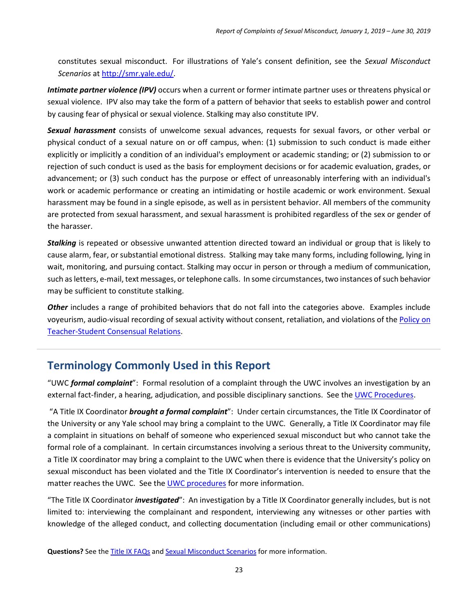constitutes sexual misconduct. For illustrations of Yale's consent definition, see the *Sexual Misconduct Scenarios* at [http://smr.yale.edu/.](http://smr.yale.edu/)

*Intimate partner violence (IPV)* occurs when a current or former intimate partner uses or threatens physical or sexual violence. IPV also may take the form of a pattern of behavior that seeks to establish power and control by causing fear of physical or sexual violence. Stalking may also constitute IPV.

*Sexual harassment* consists of unwelcome sexual advances, requests for sexual favors, or other verbal or physical conduct of a sexual nature on or off campus, when: (1) submission to such conduct is made either explicitly or implicitly a condition of an individual's employment or academic standing; or (2) submission to or rejection of such conduct is used as the basis for employment decisions or for academic evaluation, grades, or advancement; or (3) such conduct has the purpose or effect of unreasonably interfering with an individual's work or academic performance or creating an intimidating or hostile academic or work environment. Sexual harassment may be found in a single episode, as well as in persistent behavior. All members of the community are protected from sexual harassment, and sexual harassment is prohibited regardless of the sex or gender of the harasser.

*Stalking* is repeated or obsessive unwanted attention directed toward an individual or group that is likely to cause alarm, fear, or substantial emotional distress. Stalking may take many forms, including following, lying in wait, monitoring, and pursuing contact. Stalking may occur in person or through a medium of communication, such as letters, e-mail, text messages, or telephone calls. In some circumstances, two instances of such behavior may be sufficient to constitute stalking.

*Other* includes a range of prohibited behaviors that do not fall into the categories above. Examples include voyeurism, audio-visual recording of sexual activity without consent, retaliation, and violations of the [Policy on](http://www.yale.edu/equalopportunity/policies/index.html)  [Teacher-Student Consensual Relations.](http://www.yale.edu/equalopportunity/policies/index.html)

# <span id="page-22-0"></span>**Terminology Commonly Used in this Report**

"UWC *formal complaint*": Formal resolution of a complaint through the UWC involves an investigation by an external fact-finder, a hearing, adjudication, and possible disciplinary sanctions. See the [UWC Procedures.](http://provost.yale.edu/uwc/procedures)

"A Title IX Coordinator *brought a formal complaint*": Under certain circumstances, the Title IX Coordinator of the University or any Yale school may bring a complaint to the UWC. Generally, a Title IX Coordinator may file a complaint in situations on behalf of someone who experienced sexual misconduct but who cannot take the formal role of a complainant. In certain circumstances involving a serious threat to the University community, a Title IX coordinator may bring a complaint to the UWC when there is evidence that the University's policy on sexual misconduct has been violated and the Title IX Coordinator's intervention is needed to ensure that the matter reaches the UWC. See the [UWC procedures](http://provost.yale.edu/uwc/procedures) for more information.

"The Title IX Coordinator *investigated*": An investigation by a Title IX Coordinator generally includes, but is not limited to: interviewing the complainant and respondent, interviewing any witnesses or other parties with knowledge of the alleged conduct, and collecting documentation (including email or other communications)